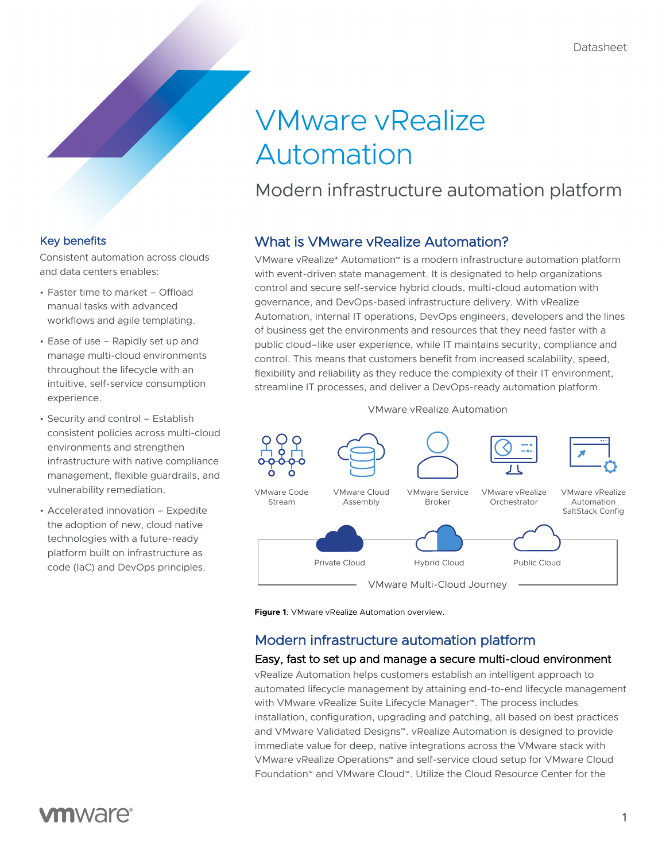# VMware vRealize Automation

# Modern infrastructure automation platform

#### Key benefits

Consistent automation across clouds and data centers enables:

- Faster time to market Offload manual tasks with advanced workflows and agile templating.
- Ease of use Rapidly set up and manage multi-cloud environments throughout the lifecycle with an intuitive, self-service consumption experience.
- Security and control Establish consistent policies across multi-cloud environments and strengthen infrastructure with native compliance management, flexible guardrails, and vulnerability remediation.
- Accelerated innovation Expedite the adoption of new, cloud native technologies with a future-ready platform built on infrastructure as code (IaC) and DevOps principles.

## What is VMware vRealize Automation?

VMware vRealize® Automation™ is a modern infrastructure automation platform with event-driven state management. It is designated to help organizations control and secure self-service hybrid clouds, multi-cloud automation with governance, and DevOps-based infrastructure delivery. With vRealize Automation, internal IT operations, DevOps engineers, developers and the lines of business get the environments and resources that they need faster with a public cloud–like user experience, while IT maintains security, compliance and control. This means that customers benefit from increased scalability, speed, flexibility and reliability as they reduce the complexity of their IT environment, streamline IT processes, and deliver a DevOps-ready automation platform.

VMware vRealize Automation



**Figure 1**: VMware vRealize Automation overview.

### Modern infrastructure automation platform

#### Easy, fast to set up and manage a secure multi-cloud environment

vRealize Automation helps customers establish an intelligent approach to automated lifecycle management by attaining end-to-end lifecycle management with VMware vRealize Suite Lifecycle Manager™. The process includes installation, configuration, upgrading and patching, all based on best practices and VMware Validated Designs™. vRealize Automation is designed to provide immediate value for deep, native integrations across the VMware stack with VMware vRealize Operations™ and self-service cloud setup for VMware Cloud Foundation™ and VMware Cloud™. Utilize the Cloud Resource Center for the

# **vm**ware<sup>®</sup>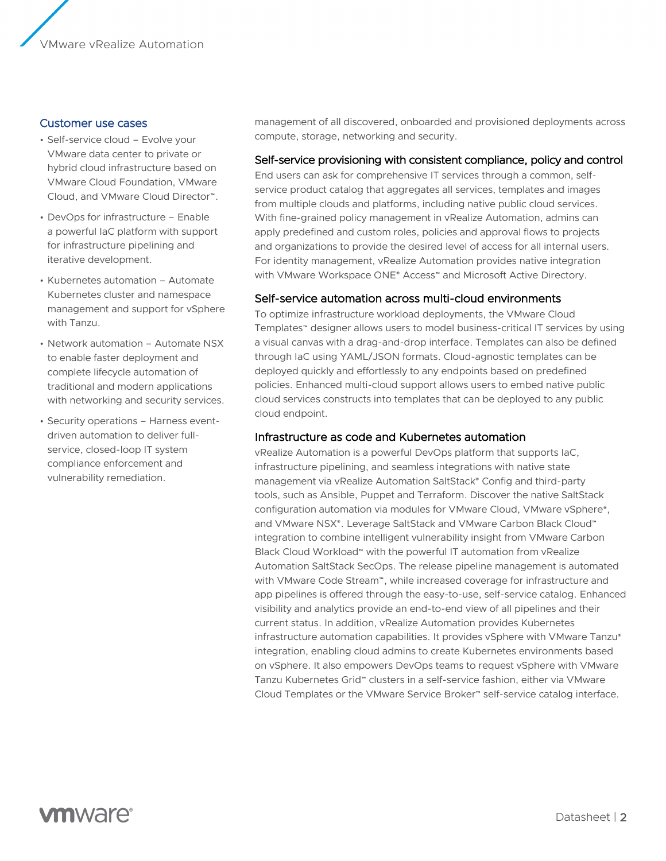#### Customer use cases

- Self-service cloud Evolve your VMware data center to private or hybrid cloud infrastructure based on VMware Cloud Foundation, VMware Cloud, and VMware Cloud Director™.
- DevOps for infrastructure Enable a powerful IaC platform with support for infrastructure pipelining and iterative development.
- Kubernetes automation Automate Kubernetes cluster and namespace management and support for vSphere with Tanzu.
- Network automation Automate NSX to enable faster deployment and complete lifecycle automation of traditional and modern applications with networking and security services.
- Security operations Harness eventdriven automation to deliver fullservice, closed-loop IT system compliance enforcement and vulnerability remediation.

management of all discovered, onboarded and provisioned deployments across compute, storage, networking and security.

#### Self-service provisioning with consistent compliance, policy and control

End users can ask for comprehensive IT services through a common, selfservice product catalog that aggregates all services, templates and images from multiple clouds and platforms, including native public cloud services. With fine-grained policy management in vRealize Automation, admins can apply predefined and custom roles, policies and approval flows to projects and organizations to provide the desired level of access for all internal users. For identity management, vRealize Automation provides native integration with VMware Workspace ONE® Access™ and Microsoft Active Directory.

#### Self-service automation across multi-cloud environments

To optimize infrastructure workload deployments, the VMware Cloud Templates™ designer allows users to model business-critical IT services by using a visual canvas with a drag-and-drop interface. Templates can also be defined through IaC using YAML/JSON formats. Cloud-agnostic templates can be deployed quickly and effortlessly to any endpoints based on predefined policies. Enhanced multi-cloud support allows users to embed native public cloud services constructs into templates that can be deployed to any public cloud endpoint.

#### Infrastructure as code and Kubernetes automation

vRealize Automation is a powerful DevOps platform that supports IaC, infrastructure pipelining, and seamless integrations with native state management via vRealize Automation SaltStack® Config and third-party tools, such as Ansible, Puppet and Terraform. Discover the native SaltStack configuration automation via modules for VMware Cloud, VMware vSphere®, and VMware NSX®. Leverage SaltStack and VMware Carbon Black Cloud™ integration to combine intelligent vulnerability insight from VMware Carbon Black Cloud Workload™ with the powerful IT automation from vRealize Automation SaltStack SecOps. The release pipeline management is automated with VMware Code Stream™, while increased coverage for infrastructure and app pipelines is offered through the easy-to-use, self-service catalog. Enhanced visibility and analytics provide an end-to-end view of all pipelines and their current status. In addition, vRealize Automation provides Kubernetes infrastructure automation capabilities. It provides vSphere with VMware Tanzu® integration, enabling cloud admins to create Kubernetes environments based on vSphere. It also empowers DevOps teams to request vSphere with VMware Tanzu Kubernetes Grid™ clusters in a self-service fashion, either via VMware Cloud Templates or the VMware Service Broker™ self-service catalog interface.